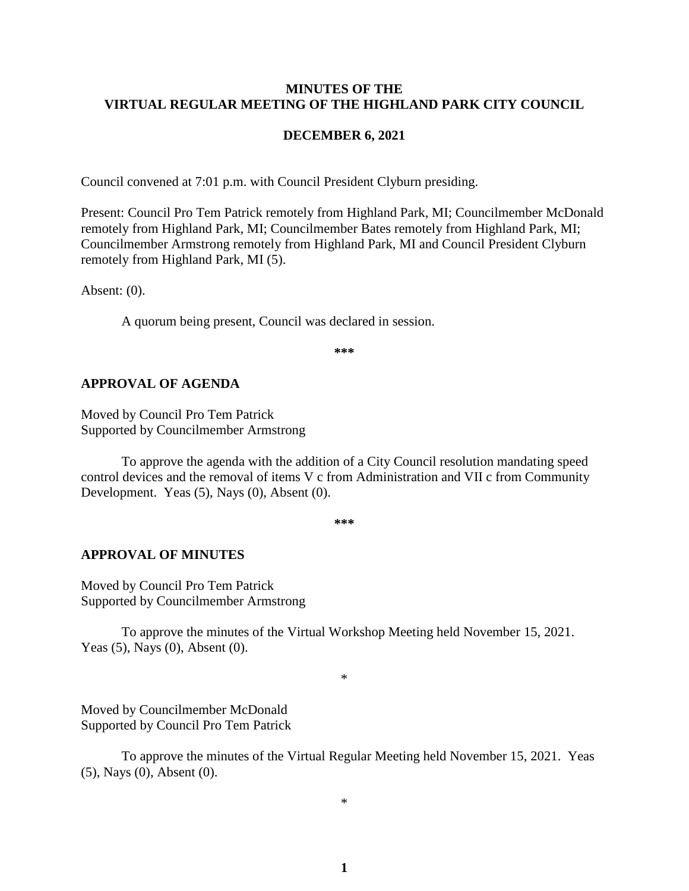#### **MINUTES OF THE VIRTUAL REGULAR MEETING OF THE HIGHLAND PARK CITY COUNCIL**

#### **DECEMBER 6, 2021**

Council convened at 7:01 p.m. with Council President Clyburn presiding.

Present: Council Pro Tem Patrick remotely from Highland Park, MI; Councilmember McDonald remotely from Highland Park, MI; Councilmember Bates remotely from Highland Park, MI; Councilmember Armstrong remotely from Highland Park, MI and Council President Clyburn remotely from Highland Park, MI (5).

Absent: (0).

A quorum being present, Council was declared in session.

**\*\*\***

#### **APPROVAL OF AGENDA**

Moved by Council Pro Tem Patrick Supported by Councilmember Armstrong

To approve the agenda with the addition of a City Council resolution mandating speed control devices and the removal of items V c from Administration and VII c from Community Development. Yeas (5), Nays (0), Absent (0).

**\*\*\***

#### **APPROVAL OF MINUTES**

Moved by Council Pro Tem Patrick Supported by Councilmember Armstrong

To approve the minutes of the Virtual Workshop Meeting held November 15, 2021. Yeas (5), Nays (0), Absent (0).

\*

Moved by Councilmember McDonald Supported by Council Pro Tem Patrick

To approve the minutes of the Virtual Regular Meeting held November 15, 2021.Yeas (5), Nays (0), Absent (0).

\*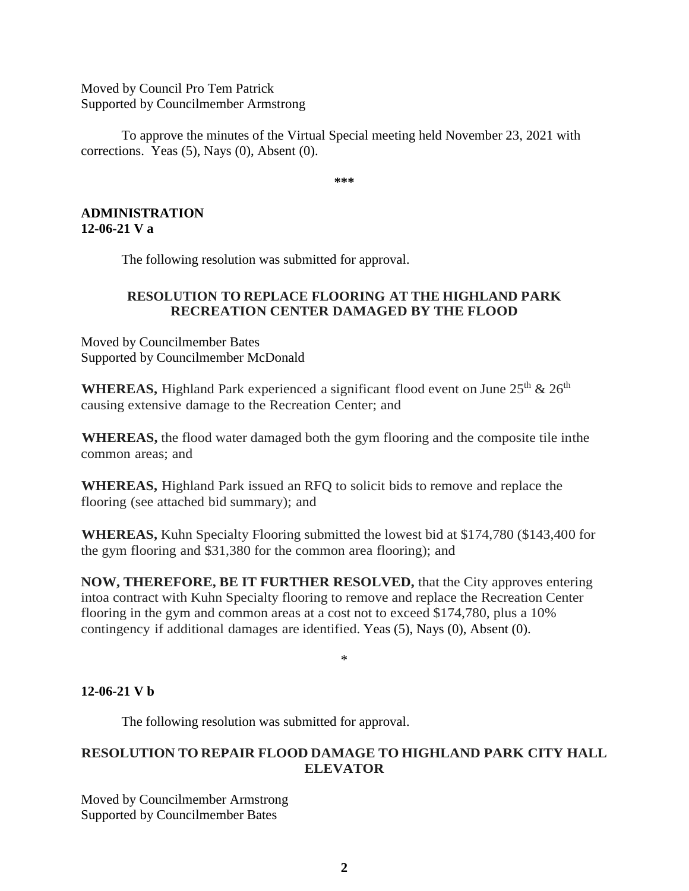Moved by Council Pro Tem Patrick Supported by Councilmember Armstrong

To approve the minutes of the Virtual Special meeting held November 23, 2021 with corrections.Yeas (5), Nays (0), Absent (0).

**\*\*\***

### **ADMINISTRATION 12-06-21 V a**

The following resolution was submitted for approval.

## **RESOLUTION TO REPLACE FLOORING AT THE HIGHLAND PARK RECREATION CENTER DAMAGED BY THE FLOOD**

Moved by Councilmember Bates Supported by Councilmember McDonald

**WHEREAS,** Highland Park experienced a significant flood event on June  $25<sup>th</sup>$  &  $26<sup>th</sup>$ causing extensive damage to the Recreation Center; and

**WHEREAS,** the flood water damaged both the gym flooring and the composite tile inthe common areas; and

**WHEREAS,** Highland Park issued an RFQ to solicit bids to remove and replace the flooring (see attached bid summary); and

**WHEREAS,** Kuhn Specialty Flooring submitted the lowest bid at \$174,780 (\$143,400 for the gym flooring and \$31,380 for the common area flooring); and

**NOW, THEREFORE, BE IT FURTHER RESOLVED,** that the City approves entering intoa contract with Kuhn Specialty flooring to remove and replace the Recreation Center flooring in the gym and common areas at a cost not to exceed \$174,780, plus a 10% contingency if additional damages are identified. Yeas (5), Nays (0), Absent (0).

\*

# **12-06-21 V b**

The following resolution was submitted for approval.

# **RESOLUTION TO REPAIR FLOOD DAMAGE TO HIGHLAND PARK CITY HALL ELEVATOR**

Moved by Councilmember Armstrong Supported by Councilmember Bates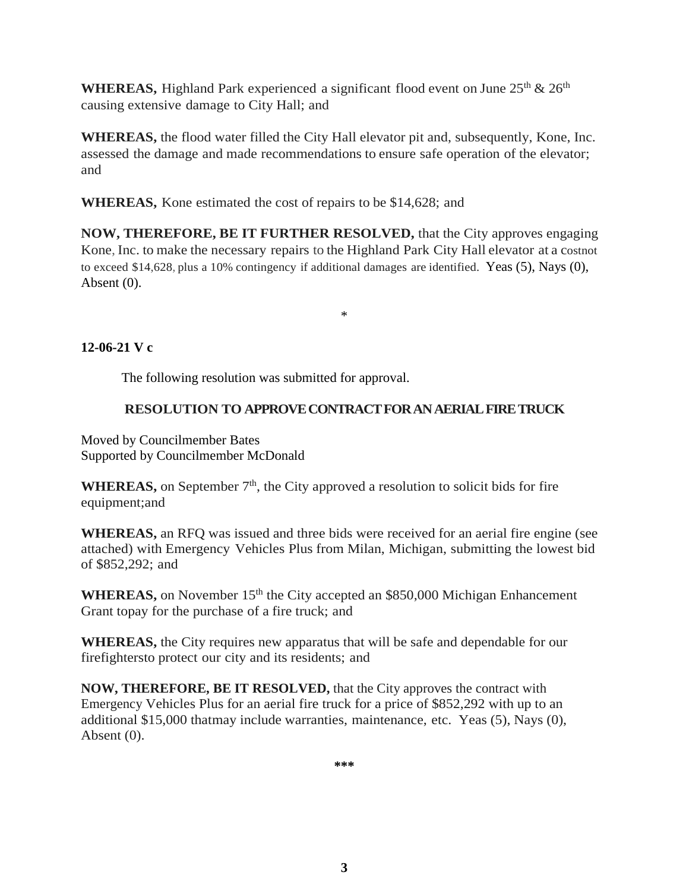**WHEREAS,** Highland Park experienced a significant flood event on June  $25<sup>th</sup> \& 26<sup>th</sup>$ causing extensive damage to City Hall; and

**WHEREAS,** the flood water filled the City Hall elevator pit and, subsequently, Kone, Inc. assessed the damage and made recommendations to ensure safe operation of the elevator; and

**WHEREAS,** Kone estimated the cost of repairs to be \$14,628; and

**NOW, THEREFORE, BE IT FURTHER RESOLVED,** that the City approves engaging Kone, Inc. to make the necessary repairs to the Highland Park City Hall elevator at a costnot to exceed \$14,628, plus a 10% contingency if additional damages are identified. Yeas (5), Nays (0), Absent (0).

\*

**12-06-21 V c**

The following resolution was submitted for approval.

# **RESOLUTION TO APPROVE CONTRACT FOR AN AERIAL FIRE TRUCK**

Moved by Councilmember Bates Supported by Councilmember McDonald

**WHEREAS,** on September  $7<sup>th</sup>$ , the City approved a resolution to solicit bids for fire equipment;and

**WHEREAS,** an RFQ was issued and three bids were received for an aerial fire engine (see attached) with Emergency Vehicles Plus from Milan, Michigan, submitting the lowest bid of \$852,292; and

**WHEREAS,** on November 15<sup>th</sup> the City accepted an \$850,000 Michigan Enhancement Grant topay for the purchase of a fire truck; and

**WHEREAS,** the City requires new apparatus that will be safe and dependable for our firefightersto protect our city and its residents; and

**NOW, THEREFORE, BE IT RESOLVED,** that the City approves the contract with Emergency Vehicles Plus for an aerial fire truck for a price of \$852,292 with up to an additional \$15,000 thatmay include warranties, maintenance, etc. Yeas (5), Nays (0), Absent (0).

**\*\*\***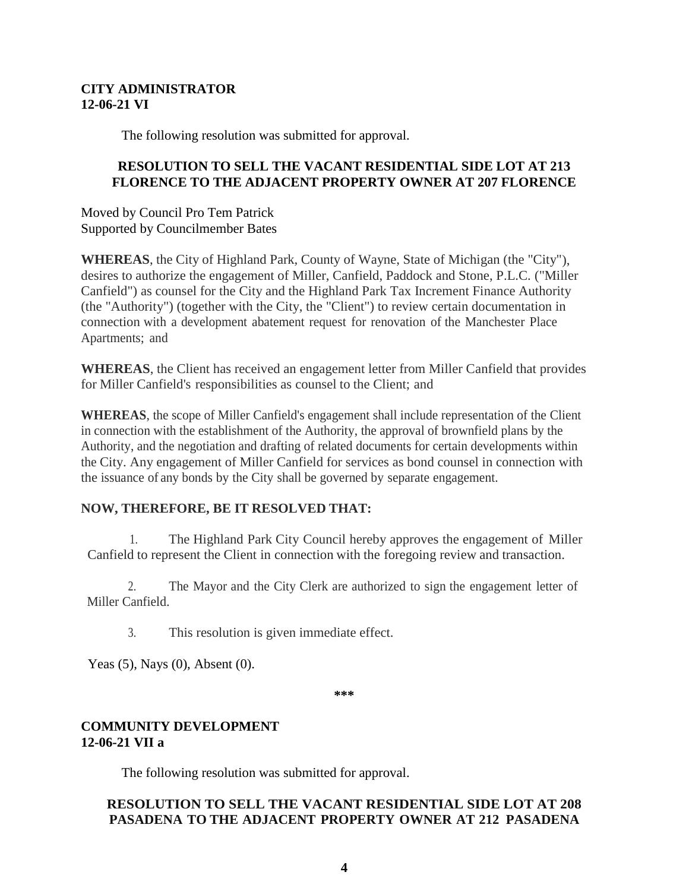## **CITY ADMINISTRATOR 12-06-21 VI**

The following resolution was submitted for approval.

# **RESOLUTION TO SELL THE VACANT RESIDENTIAL SIDE LOT AT 213 FLORENCE TO THE ADJACENT PROPERTY OWNER AT 207 FLORENCE**

Moved by Council Pro Tem Patrick Supported by Councilmember Bates

**WHEREAS**, the City of Highland Park, County of Wayne, State of Michigan (the "City"), desires to authorize the engagement of Miller, Canfield, Paddock and Stone, P.L.C. ("Miller Canfield") as counsel for the City and the Highland Park Tax Increment Finance Authority (the "Authority") (together with the City, the "Client") to review certain documentation in connection with a development abatement request for renovation of the Manchester Place Apartments; and

**WHEREAS**, the Client has received an engagement letter from Miller Canfield that provides for Miller Canfield's responsibilities as counsel to the Client; and

**WHEREAS**, the scope of Miller Canfield's engagement shall include representation of the Client in connection with the establishment of the Authority, the approval of brownfield plans by the Authority, and the negotiation and drafting of related documents for certain developments within the City. Any engagement of Miller Canfield for services as bond counsel in connection with the issuance of any bonds by the City shall be governed by separate engagement.

# **NOW, THEREFORE, BE IT RESOLVED THAT:**

1. The Highland Park City Council hereby approves the engagement of Miller Canfield to represent the Client in connection with the foregoing review and transaction.

2. The Mayor and the City Clerk are authorized to sign the engagement letter of Miller Canfield.

3. This resolution is given immediate effect.

Yeas (5), Nays (0), Absent (0).

**\*\*\***

## **COMMUNITY DEVELOPMENT 12-06-21 VII a**

The following resolution was submitted for approval.

# **RESOLUTION TO SELL THE VACANT RESIDENTIAL SIDE LOT AT 208 PASADENA TO THE ADJACENT PROPERTY OWNER AT 212 PASADENA**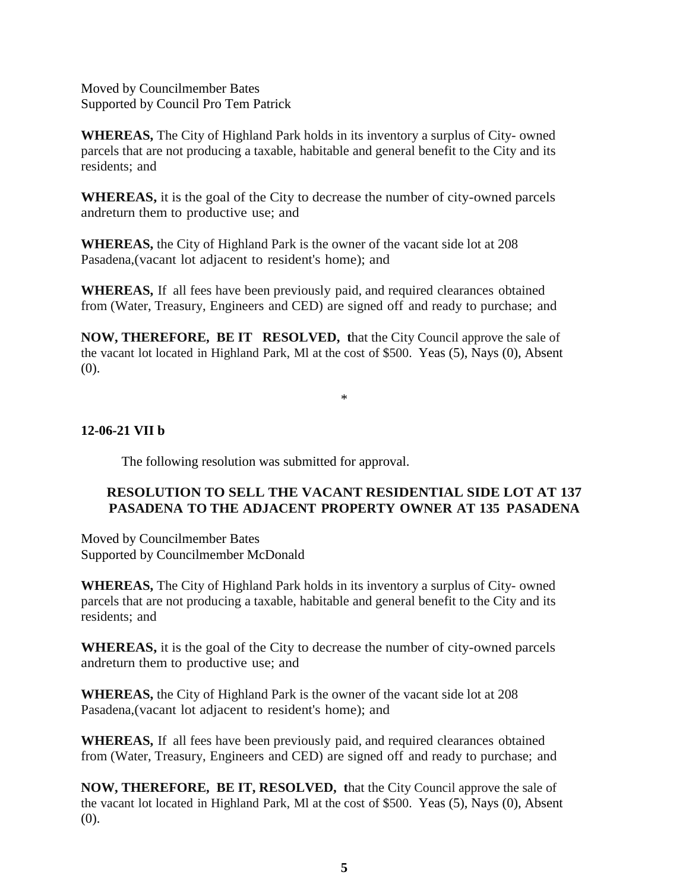Moved by Councilmember Bates Supported by Council Pro Tem Patrick

**WHEREAS,** The City of Highland Park holds in its inventory a surplus of City- owned parcels that are not producing a taxable, habitable and general benefit to the City and its residents; and

**WHEREAS,** it is the goal of the City to decrease the number of city-owned parcels andreturn them to productive use; and

**WHEREAS,** the City of Highland Park is the owner of the vacant side lot at 208 Pasadena,(vacant lot adjacent to resident's home); and

**WHEREAS,** If all fees have been previously paid, and required clearances obtained from (Water, Treasury, Engineers and CED) are signed off and ready to purchase; and

**NOW, THEREFORE, BE IT RESOLVED, t**hat the City Council approve the sale of the vacant lot located in Highland Park, Ml at the cost of \$500. Yeas (5), Nays (0), Absent (0).

\*

# **12-06-21 VII b**

The following resolution was submitted for approval.

# **RESOLUTION TO SELL THE VACANT RESIDENTIAL SIDE LOT AT 137 PASADENA TO THE ADJACENT PROPERTY OWNER AT 135 PASADENA**

Moved by Councilmember Bates Supported by Councilmember McDonald

**WHEREAS,** The City of Highland Park holds in its inventory a surplus of City- owned parcels that are not producing a taxable, habitable and general benefit to the City and its residents; and

**WHEREAS,** it is the goal of the City to decrease the number of city-owned parcels andreturn them to productive use; and

**WHEREAS,** the City of Highland Park is the owner of the vacant side lot at 208 Pasadena,(vacant lot adjacent to resident's home); and

**WHEREAS,** If all fees have been previously paid, and required clearances obtained from (Water, Treasury, Engineers and CED) are signed off and ready to purchase; and

**NOW, THEREFORE, BE IT, RESOLVED, t**hat the City Council approve the sale of the vacant lot located in Highland Park, Ml at the cost of \$500. Yeas (5), Nays (0), Absent (0).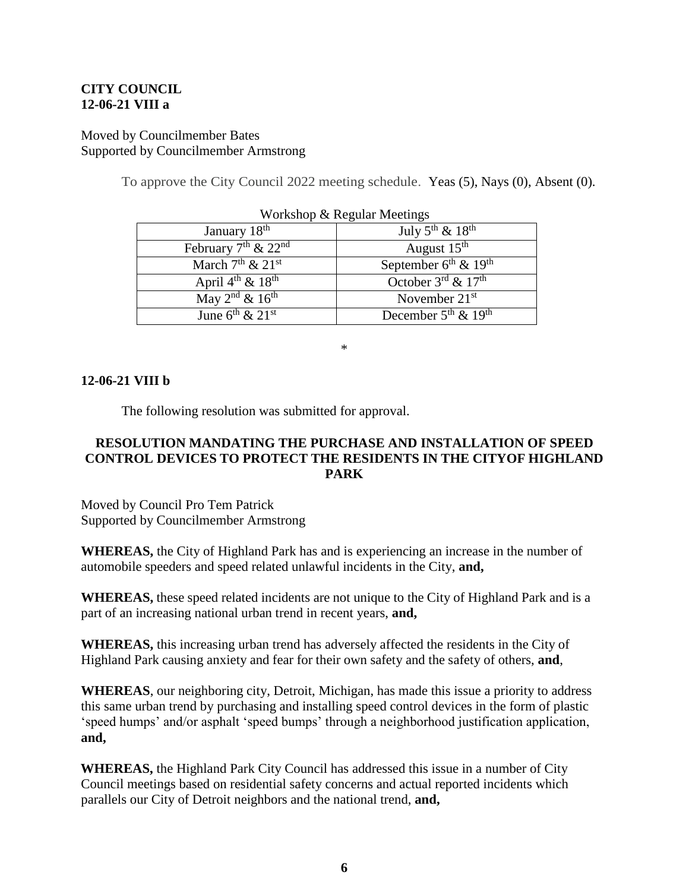## **CITY COUNCIL 12-06-21 VIII a**

## Moved by Councilmember Bates Supported by Councilmember Armstrong

To approve the City Council 2022 meeting schedule. Yeas (5), Nays (0), Absent (0).

| January 18 <sup>th</sup>                 | July $5^{th}$ & $18^{th}$                               |
|------------------------------------------|---------------------------------------------------------|
| February $7th$ & $22nd$                  | August $15th$                                           |
| March $7th$ & $21st$                     | September $6^{\text{th}}$ & $19^{\overline{\text{th}}}$ |
| April $4^{\text{th}}$ & $18^{\text{th}}$ | October $3^{\text{rd}}$ & $17^{\text{th}}$              |
| May $2^{nd}$ & $16^{th}$                 | November $21st$                                         |
| June $6^{th}$ & $21^{st}$                | December $5^{\text{th}}$ & $19^{\text{th}}$             |

\*

#### **12-06-21 VIII b**

The following resolution was submitted for approval.

# **RESOLUTION MANDATING THE PURCHASE AND INSTALLATION OF SPEED CONTROL DEVICES TO PROTECT THE RESIDENTS IN THE CITYOF HIGHLAND PARK**

Moved by Council Pro Tem Patrick Supported by Councilmember Armstrong

**WHEREAS,** the City of Highland Park has and is experiencing an increase in the number of automobile speeders and speed related unlawful incidents in the City, **and,**

**WHEREAS,** these speed related incidents are not unique to the City of Highland Park and is a part of an increasing national urban trend in recent years, **and,**

**WHEREAS,** this increasing urban trend has adversely affected the residents in the City of Highland Park causing anxiety and fear for their own safety and the safety of others, **and**,

**WHEREAS**, our neighboring city, Detroit, Michigan, has made this issue a priority to address this same urban trend by purchasing and installing speed control devices in the form of plastic 'speed humps' and/or asphalt 'speed bumps' through a neighborhood justification application, **and,**

**WHEREAS,** the Highland Park City Council has addressed this issue in a number of City Council meetings based on residential safety concerns and actual reported incidents which parallels our City of Detroit neighbors and the national trend, **and,**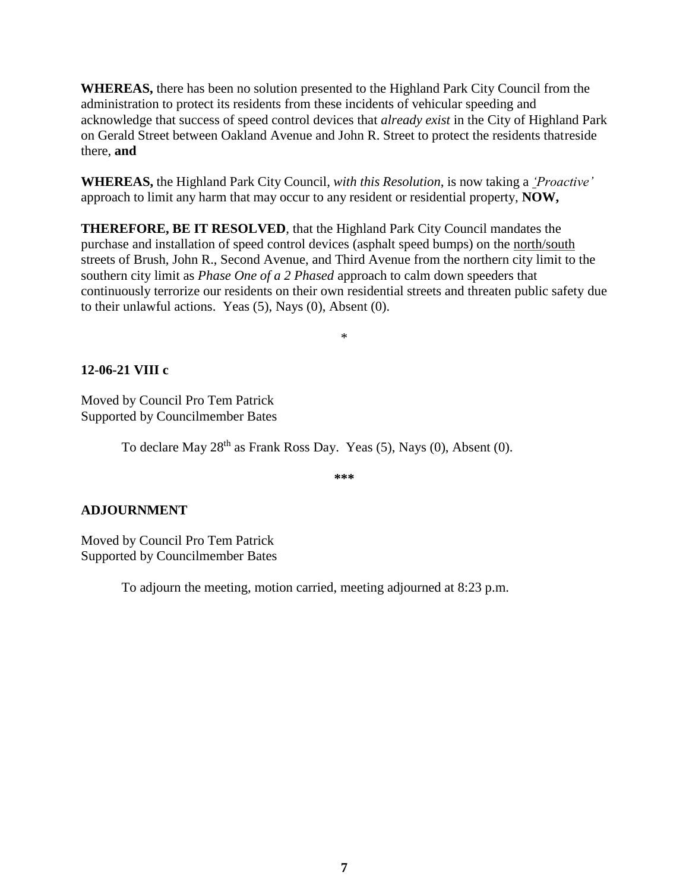**WHEREAS,** there has been no solution presented to the Highland Park City Council from the administration to protect its residents from these incidents of vehicular speeding and acknowledge that success of speed control devices that *already exist* in the City of Highland Park on Gerald Street between Oakland Avenue and John R. Street to protect the residents thatreside there, **and**

**WHEREAS,** the Highland Park City Council, *with this Resolution*, is now taking a *'Proactive'* approach to limit any harm that may occur to any resident or residential property, **NOW,**

**THEREFORE, BE IT RESOLVED**, that the Highland Park City Council mandates the purchase and installation of speed control devices (asphalt speed bumps) on the north/south streets of Brush, John R., Second Avenue, and Third Avenue from the northern city limit to the southern city limit as *Phase One of a 2 Phased* approach to calm down speeders that continuously terrorize our residents on their own residential streets and threaten public safety due to their unlawful actions. Yeas (5), Nays (0), Absent (0).

\*

## **12-06-21 VIII c**

Moved by Council Pro Tem Patrick Supported by Councilmember Bates

To declare May  $28<sup>th</sup>$  as Frank Ross Day. Yeas (5), Nays (0), Absent (0).

**\*\*\***

#### **ADJOURNMENT**

Moved by Council Pro Tem Patrick Supported by Councilmember Bates

To adjourn the meeting, motion carried, meeting adjourned at 8:23 p.m.